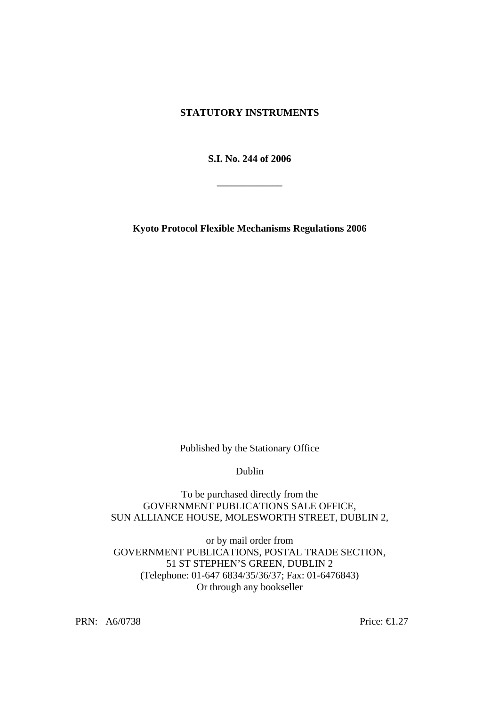# **STATUTORY INSTRUMENTS**

**S.I. No. 244 of 2006** 

**\_\_\_\_\_\_\_\_\_\_\_\_\_** 

**Kyoto Protocol Flexible Mechanisms Regulations 2006** 

Published by the Stationary Office

Dublin

To be purchased directly from the GOVERNMENT PUBLICATIONS SALE OFFICE, SUN ALLIANCE HOUSE, MOLESWORTH STREET, DUBLIN 2,

or by mail order from GOVERNMENT PUBLICATIONS, POSTAL TRADE SECTION, 51 ST STEPHEN'S GREEN, DUBLIN 2 (Telephone: 01-647 6834/35/36/37; Fax: 01-6476843) Or through any bookseller

PRN: A6/0738 Price: €1.27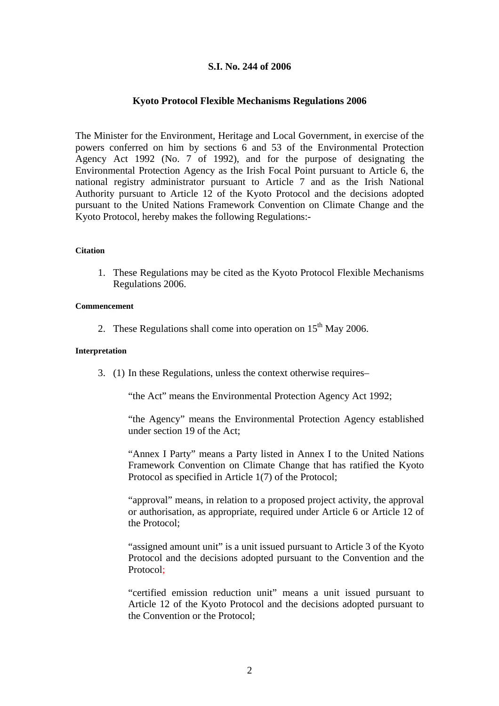# **S.I. No. 244 of 2006**

## **Kyoto Protocol Flexible Mechanisms Regulations 2006**

The Minister for the Environment, Heritage and Local Government, in exercise of the powers conferred on him by sections 6 and 53 of the Environmental Protection Agency Act 1992 (No. 7 of 1992), and for the purpose of designating the Environmental Protection Agency as the Irish Focal Point pursuant to Article 6, the national registry administrator pursuant to Article 7 and as the Irish National Authority pursuant to Article 12 of the Kyoto Protocol and the decisions adopted pursuant to the United Nations Framework Convention on Climate Change and the Kyoto Protocol, hereby makes the following Regulations:-

#### **Citation**

1. These Regulations may be cited as the Kyoto Protocol Flexible Mechanisms Regulations 2006.

#### **Commencement**

2. These Regulations shall come into operation on  $15<sup>th</sup>$  May 2006.

#### **Interpretation**

3. (1) In these Regulations, unless the context otherwise requires–

"the Act" means the Environmental Protection Agency Act 1992;

"the Agency" means the Environmental Protection Agency established under section 19 of the Act;

"Annex I Party" means a Party listed in Annex I to the United Nations Framework Convention on Climate Change that has ratified the Kyoto Protocol as specified in Article 1(7) of the Protocol;

"approval" means, in relation to a proposed project activity, the approval or authorisation, as appropriate, required under Article 6 or Article 12 of the Protocol;

"assigned amount unit" is a unit issued pursuant to Article 3 of the Kyoto Protocol and the decisions adopted pursuant to the Convention and the Protocol;

"certified emission reduction unit" means a unit issued pursuant to Article 12 of the Kyoto Protocol and the decisions adopted pursuant to the Convention or the Protocol;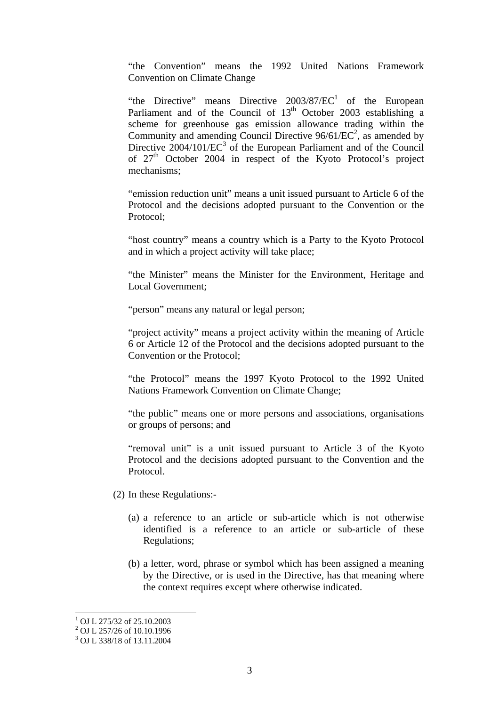"the Convention" means the 1992 United Nations Framework Convention on Climate Change

"the Directive" means Directive  $2003/87/EC<sup>1</sup>$  $2003/87/EC<sup>1</sup>$  $2003/87/EC<sup>1</sup>$  of the European Parliament and of the Council of 13<sup>th</sup> October 2003 establishing a scheme for greenhouse gas emission allowance trading within the Community and amending Council Directive  $96/61/EC^2$ , as amended by Directive  $2004/101/EC^3$  $2004/101/EC^3$  of the European Parliament and of the Council of 27<sup>th</sup> October 2004 in respect of the Kyoto Protocol's project mechanisms;

"emission reduction unit" means a unit issued pursuant to Article 6 of the Protocol and the decisions adopted pursuant to the Convention or the Protocol;

"host country" means a country which is a Party to the Kyoto Protocol and in which a project activity will take place;

"the Minister" means the Minister for the Environment, Heritage and Local Government;

"person" means any natural or legal person;

"project activity" means a project activity within the meaning of Article 6 or Article 12 of the Protocol and the decisions adopted pursuant to the Convention or the Protocol;

"the Protocol" means the 1997 Kyoto Protocol to the 1992 United Nations Framework Convention on Climate Change;

"the public" means one or more persons and associations, organisations or groups of persons; and

"removal unit" is a unit issued pursuant to Article 3 of the Kyoto Protocol and the decisions adopted pursuant to the Convention and the Protocol.

- (2) In these Regulations:-
	- (a) a reference to an article or sub-article which is not otherwise identified is a reference to an article or sub-article of these Regulations;
	- (b) a letter, word, phrase or symbol which has been assigned a meaning by the Directive, or is used in the Directive, has that meaning where the context requires except where otherwise indicated.

 $\overline{a}$ 

<span id="page-2-0"></span><sup>&</sup>lt;sup>1</sup> OJ L 275/32 of 25.10.2003<br><sup>2</sup> OJ L 257/26 of 10.10.1996<br><sup>3</sup> OJ L 338/18 of 13.11.2004

<span id="page-2-1"></span>

<span id="page-2-2"></span>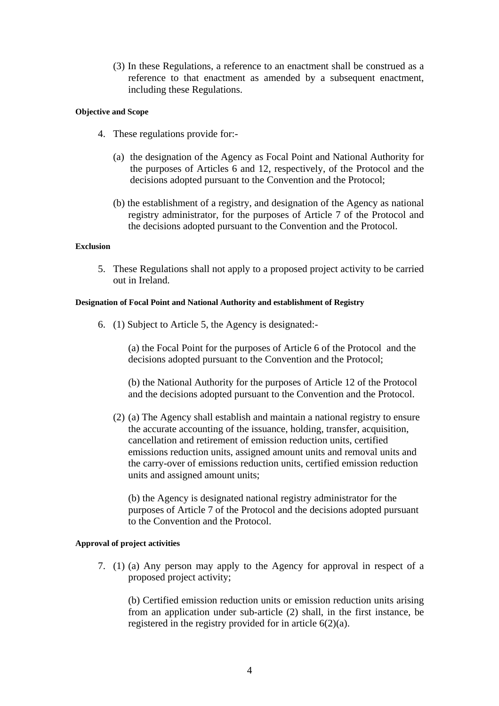(3) In these Regulations, a reference to an enactment shall be construed as a reference to that enactment as amended by a subsequent enactment, including these Regulations.

## **Objective and Scope**

- 4. These regulations provide for:-
	- (a) the designation of the Agency as Focal Point and National Authority for the purposes of Articles 6 and 12, respectively, of the Protocol and the decisions adopted pursuant to the Convention and the Protocol;
	- (b) the establishment of a registry, and designation of the Agency as national registry administrator, for the purposes of Article 7 of the Protocol and the decisions adopted pursuant to the Convention and the Protocol.

## **Exclusion**

5. These Regulations shall not apply to a proposed project activity to be carried out in Ireland.

## **Designation of Focal Point and National Authority and establishment of Registry**

6. (1) Subject to Article 5, the Agency is designated:-

(a) the Focal Point for the purposes of Article 6 of the Protocol and the decisions adopted pursuant to the Convention and the Protocol;

 (b) the National Authority for the purposes of Article 12 of the Protocol and the decisions adopted pursuant to the Convention and the Protocol.

(2) (a) The Agency shall establish and maintain a national registry to ensure the accurate accounting of the issuance, holding, transfer, acquisition, cancellation and retirement of emission reduction units, certified emissions reduction units, assigned amount units and removal units and the carry-over of emissions reduction units, certified emission reduction units and assigned amount units;

(b) the Agency is designated national registry administrator for the purposes of Article 7 of the Protocol and the decisions adopted pursuant to the Convention and the Protocol.

## **Approval of project activities**

7. (1) (a) Any person may apply to the Agency for approval in respect of a proposed project activity;

(b) Certified emission reduction units or emission reduction units arising from an application under sub-article (2) shall, in the first instance, be registered in the registry provided for in article 6(2)(a).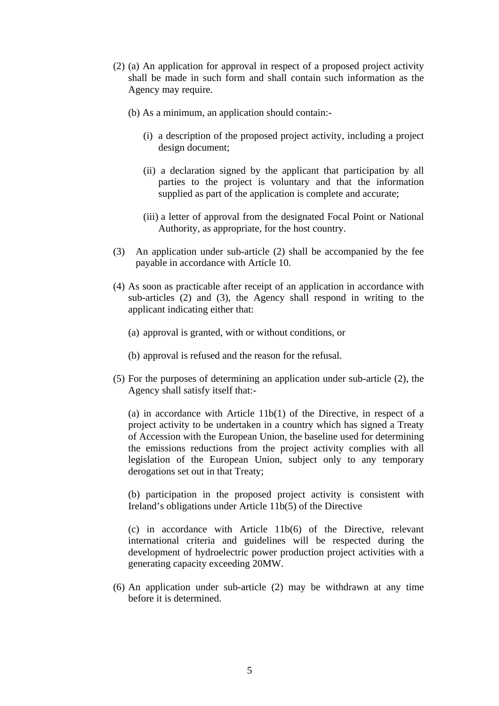- (2) (a) An application for approval in respect of a proposed project activity shall be made in such form and shall contain such information as the Agency may require.
	- (b) As a minimum, an application should contain:-
		- (i) a description of the proposed project activity, including a project design document;
		- (ii) a declaration signed by the applicant that participation by all parties to the project is voluntary and that the information supplied as part of the application is complete and accurate;
		- (iii) a letter of approval from the designated Focal Point or National Authority, as appropriate, for the host country.
- (3) An application under sub-article (2) shall be accompanied by the fee payable in accordance with Article 10.
- (4) As soon as practicable after receipt of an application in accordance with sub-articles (2) and (3), the Agency shall respond in writing to the applicant indicating either that:
	- (a) approval is granted, with or without conditions, or
	- (b) approval is refused and the reason for the refusal.
- (5) For the purposes of determining an application under sub-article (2), the Agency shall satisfy itself that:-

(a) in accordance with Article 11b(1) of the Directive, in respect of a project activity to be undertaken in a country which has signed a Treaty of Accession with the European Union, the baseline used for determining the emissions reductions from the project activity complies with all legislation of the European Union, subject only to any temporary derogations set out in that Treaty;

(b) participation in the proposed project activity is consistent with Ireland's obligations under Article 11b(5) of the Directive

(c) in accordance with Article 11b(6) of the Directive, relevant international criteria and guidelines will be respected during the development of hydroelectric power production project activities with a generating capacity exceeding 20MW.

(6) An application under sub-article (2) may be withdrawn at any time before it is determined.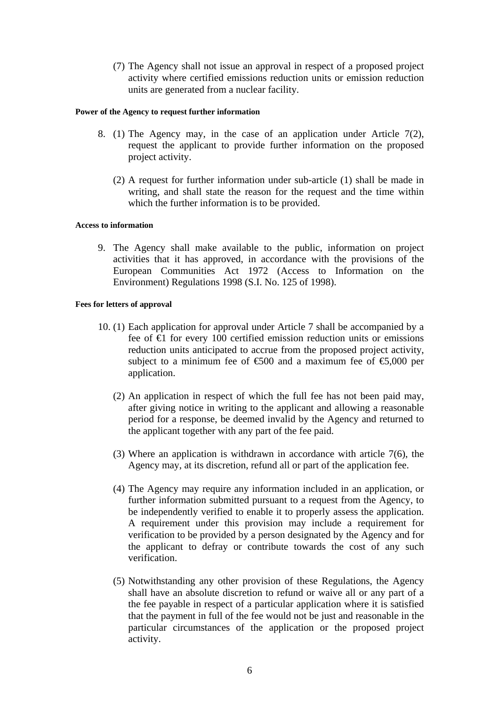(7) The Agency shall not issue an approval in respect of a proposed project activity where certified emissions reduction units or emission reduction units are generated from a nuclear facility.

#### **Power of the Agency to request further information**

- 8. (1) The Agency may, in the case of an application under Article 7(2), request the applicant to provide further information on the proposed project activity.
	- (2) A request for further information under sub-article (1) shall be made in writing, and shall state the reason for the request and the time within which the further information is to be provided.

#### **Access to information**

9. The Agency shall make available to the public, information on project activities that it has approved, in accordance with the provisions of the European Communities Act 1972 (Access to Information on the Environment) Regulations 1998 (S.I. No. 125 of 1998).

#### **Fees for letters of approval**

- 10. (1) Each application for approval under Article 7 shall be accompanied by a fee of  $\epsilon$  for every 100 certified emission reduction units or emissions reduction units anticipated to accrue from the proposed project activity, subject to a minimum fee of  $600$  and a maximum fee of  $6000$  per application.
	- (2) An application in respect of which the full fee has not been paid may, after giving notice in writing to the applicant and allowing a reasonable period for a response, be deemed invalid by the Agency and returned to the applicant together with any part of the fee paid.
	- (3) Where an application is withdrawn in accordance with article 7(6), the Agency may, at its discretion, refund all or part of the application fee.
	- (4) The Agency may require any information included in an application, or further information submitted pursuant to a request from the Agency, to be independently verified to enable it to properly assess the application. A requirement under this provision may include a requirement for verification to be provided by a person designated by the Agency and for the applicant to defray or contribute towards the cost of any such verification.
	- (5) Notwithstanding any other provision of these Regulations, the Agency shall have an absolute discretion to refund or waive all or any part of a the fee payable in respect of a particular application where it is satisfied that the payment in full of the fee would not be just and reasonable in the particular circumstances of the application or the proposed project activity.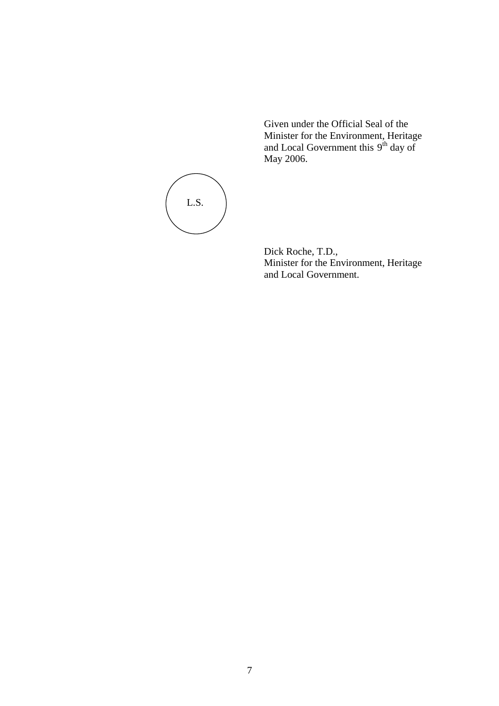Given under the Official Seal of the Minister for the Environment, Heritage and Local Government this 9<sup>th</sup> day of May 2006.



Dick Roche, T.D., Minister for the Environment, Heritage and Local Government.